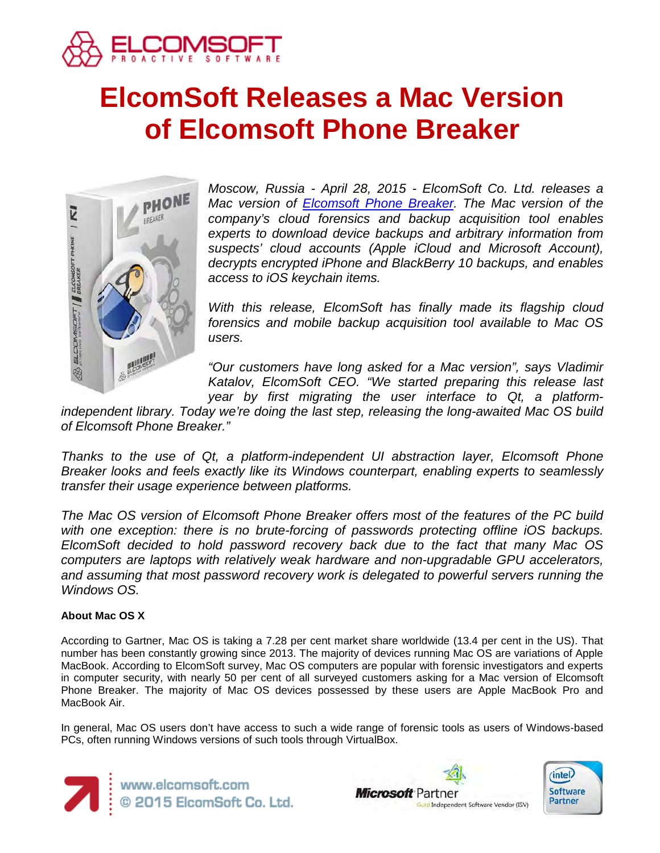

# **ElcomSoft Releases a Mac Version of Elcomsoft Phone Breaker**



*Moscow, Russia - April 28, 2015 - ElcomSoft Co. Ltd. releases a Mac version of [Elcomsoft Phone Breaker.](https://www.elcomsoft.com/eppb.html) The Mac version of the company's cloud forensics and backup acquisition tool enables experts to download device backups and arbitrary information from suspects' cloud accounts (Apple iCloud and Microsoft Account), decrypts encrypted iPhone and BlackBerry 10 backups, and enables access to iOS keychain items.*

*With this release, ElcomSoft has finally made its flagship cloud forensics and mobile backup acquisition tool available to Mac OS users.* 

*"Our customers have long asked for a Mac version", says Vladimir Katalov, ElcomSoft CEO. "We started preparing this release last year by first migrating the user interface to Qt, a platform-*

*independent library. Today we're doing the last step, releasing the long-awaited Mac OS build of Elcomsoft Phone Breaker."*

*Thanks to the use of Qt, a platform-independent UI abstraction layer, Elcomsoft Phone Breaker looks and feels exactly like its Windows counterpart, enabling experts to seamlessly transfer their usage experience between platforms.*

*The Mac OS version of Elcomsoft Phone Breaker offers most of the features of the PC build with one exception: there is no brute-forcing of passwords protecting offline iOS backups. ElcomSoft decided to hold password recovery back due to the fact that many Mac OS computers are laptops with relatively weak hardware and non-upgradable GPU accelerators, and assuming that most password recovery work is delegated to powerful servers running the Windows OS.*

## **About Mac OS X**

According to Gartner, Mac OS is taking a 7.28 per cent market share worldwide (13.4 per cent in the US). That number has been constantly growing since 2013. The majority of devices running Mac OS are variations of Apple MacBook. According to ElcomSoft survey, Mac OS computers are popular with forensic investigators and experts in computer security, with nearly 50 per cent of all surveyed customers asking for a Mac version of Elcomsoft Phone Breaker. The majority of Mac OS devices possessed by these users are Apple MacBook Pro and MacBook Air.

In general, Mac OS users don't have access to such a wide range of forensic tools as users of Windows-based PCs, often running Windows versions of such tools through VirtualBox.